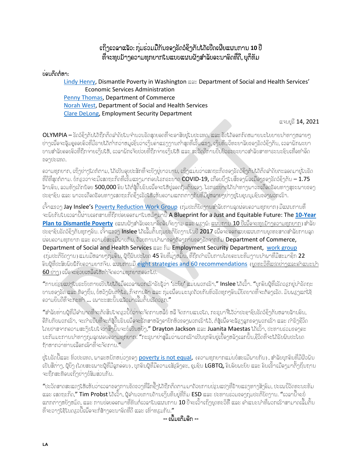## ເຖິງເວລາແລ້ວ: ກຸ່ມຮ່ວມມືກັນຂອງຣັດວໍຊິງຕັນໄດ້ເປີດເຜີຍແຜນການ **10** ປີ ທີ່ຈະທຸບນ້າງຄວາມທຸກຍາກໃນແບບແຜນຜັງສໍາລັບອະນາຄິດທີ່ດີ, ຍຸຕິທັມ

## น่อบติดต์ขา:

Lindy Henry, Dismantle Poverty in Washington was Department of Social and Health Services' **Economic Services Administration** Penny Thomas, Department of Commerce Norah West, Department of Social and Health Services **Clare DeLong, Employment Security Department** 

ตามปูรี **14, 2021** 

OLYMPIA – รักวํอ๊าตัมได้ทิ๊กติ๊กลำกับในจำนวนรักสถยอกที่จะอาสัยย์ในปะเทก, และ รักได้ออกภิกขนายมะโยบายนำทาาຫลายๆ ย่าาเพื่อจะอุ้มอุลอขลิวที่มีรายได้ตำทวาทมูเอุ้มว่าเก็บถ่าแรกกามตำสุดที่เอ็มแอก, เก็บท็บอิทะยาลัยออกรัดว์อีกตับ, เวลาพัทพะยา บามสำลับถอบถิ่วที่ຖືກจ่ายเๅ็บใต้, เวลาพัทเจับบ่วยที่ຖືກจ่ายเๅ็บใต้ และ สะวัดดีภามปี่บปิวระยะยาวสำลับสาทาระมะอิบเทื่อทำอีก 291*ປະເທດ.* 

้ถวามทุกยาก, เก๊าย่าาใดทํตาม, ได้เป็นอุบปะสึกที่จะย้ายู่ยาวมาม, เก๊าแม่มว่าเสดฤะก็ดออารีดว้อาตัมได้ตีดลำดับตะลอดมายู่ในรีด ທີ່ດີທີ່ສຸດກໍຕາມ. ບໍ່ກ່ຽວວ່າຈະມີເສດຖະກິດທີ່ເຂັ້ມແຂງມາກ່ອນໂຣກຣະບາດ COVID-19, ເກືອບນຶ່ງໃນສື່ຂອງພິລເມືອງຂອງຣັດວໍຊິງຕັນ — 1.75 ້ລານຄິນ, ລວມທັງເດັກນ້ອຍ **500,000** ຄິນ ໄດ້ຕໍ່ສູ້ດື່ນຣິນເພື່ອຈະໃຫ້ຍູ່ລອດກຸ້ມຕົນເອງ. ໂຣກຣະບາດໄດ້ນຳທາງພາວະເດືອດຣ້ອນທາງສຸຂະພາບຂອງ ปะอาอิม และ พาวะเกือกร้อมทาาเสกฤะทิกอุ๊าเรักใຫ้เຫ็มถวามแตกต่าาทัมที่มียู่ตลายๆย่าายู่ในอุมนุมอินออาพวทเริา.

เจ้าแะอา Jay Inslee's Poverty Reduction Work Group (ทุ่มปะที่ขี้ถาวมสำลับทามลุกผ่อมถวามทุกยาก) มีแผมทามที่ າະພິບກັນໃນເວລານີ້ຜ່ານເອກສານທີ່ຖືກບ່ອຍອອກມາໃນຫມໍໆມານີ້ A Blueprint for a Just and Equitable Future: The 10-Year Plan to Dismantle Poverty (ແຜນຜັງສໍາລັບອະນາຄິດອັນຈິບງານ ແລະ ພຽງພໍ: ແຜນການ 10 ປີເພື່ອຈະທຸບມ້າງຄວາມທຸກຍາກ) ສໍາລັບ ู้ปะຊາຊິນຣັດວໍຊິງຕັນທຸກໆຄິນ. ເຈົ້າແຂວງ **Inslee** ໄດ້ເລີ້ມຕົ້ນກຸ່ມປະຕິບັດງານໃນປີ 2017 ເພື່ອຈະອອກແບບແຜນການຍຸດທະສາດສຳລັບການລຸດ ผ่อมถวามทุกยาก และ ถวามข์สะผมีพาขทับ. ถ้วยกามมำพาออาท้อากามออารีกจากกิม Department of Commerce, Department of Social and Health Services ແລະ ກິນ Employment Security Department, work group (ກຸ່ມປະຕິບັດງານ) ແມ່ນມີຫລາຍໆກຸ່ມຄືນ, ຜູ້ຖືຜິນປະໂຍດ 45 ຄິນທີ່ມຸ່ງຫມັ້ນ, ທີ່ຖືກດຳເນີນການໂດຍຄະນະທິມງານນຳພາທີ່ມີສະມາຊິກ 22 ີຄົນຜູ້ທີ່ປະສິບພິບພ້ກັບຄວາມຍາກຈິນ. ແຜນການມື້ eight strategies and 60 recommendations (ຍຸດທະວິທີແປດຢ່າງແລະຄຳແນະນຳ  $60$  ย่าา) เพื่อจะอุ่วยเຫลือใช้ทำจัดถวามทุกยากออกไป.

"ทามปรุ่มตปาใบระบิบทายเป็นไปได้เมื่อเวลาพวทเริกรีบรู้ว<sup>่</sup>า 'ระบิบ' ตมมพวทเริก," Inslee ได้เว็ก. "บุทคิมผู้ที่เรีดวรทยุ่มำรัดทุะ ູ ບານຂອງຣັດ ແລະ ທ້ອງຖິ່ນ, ບໍ່ຫວັງຜິນກຳໄຣ, ກິຈການຄ້າ ແລະ ກຸ່ມເພື່ອນມະນຸດດ້ວຍກັນທິ່ວຣັດທຸກໆຄົນມີບິດບາດທີ່ຈະຕ້ອງເຣັດ. ມັນພຽງແຕ່ໃຊ້ ้อวามยิ่มกีฬีจะทะทำ ... ผงาะะสะนั้นแล้วมาเลิ้มก็มเรีกว.ก."

"สำลับท่ามผู้ที่มีอำมากที่จะตักสืบใจกรุงมีข้อาจะจักภามตลึข์ ตลิ จักภามแนวใก, ภะรุมาจี๋ไว้อ่าปะอาอุิมรักว์อุ๊าตัมตลายล้ามถิ่ม, ຄືກັນກັບພວກເຮົາ, ຈະດຳເນີນທີ່ຈະຕໍ່ສູ້ດີ້ນຣິນເພື່ອຈະຮັກສາຫລັງຄາປົກຫົວຂອງພວກເຮົາໄວ້, ຕໍ່ສູເພື່ອຈະລ້ຽງລູກຂອງພວກເຮົາ ແລະ ດຳຣິງຊີວິດ โดยปาสจาກຄວາມສະງົບໃນໃຈວ່າສິ່ງນັ້ນຈະບໍ່ເປັນຫຍັງ," Drayton Jackson ແລະ Juanita Maestas ໄດ້ເວົ້າ, ປະທານຮ່ວມຂອງຄະ ุ่มะทีมมะทามมำตาๆทุ่มลุกผ่อมความตุทยาท. "ทะรุมาย่าสู่ลิมวาพวทเริาเป็นบุทคิมยู่เชื้อๆຫลัງเลทมั้ม,ຊีวิกที่จะได้รับผิมปะโยก ก้าຫาກວ<sup>່</sup>າທ<sup>່</sup>ານເລືອກເອົາທີ່ຈະຈັດການ."

ຍູ່ໃນຣັດນີ້ແລະ ທິ່ວປະເທດ, ພາລະຫນັກຫນວງຂອງ <mark>poverty is not equal,</mark> (ຄວາມທຸກຍາກແມ່ນບໍສະເມີພາບກັນ) , ສຳລັບບຸກຄິນທີ່ມີຜີວພັນ ເປັນສືຕ່າງ, ຜູ້ຍິງ (ໂດຍສະເພາະຜູ້ທີ່ມີລູກອ່ອນ) , ບຸກຄິນຜູ້ທີ່ມີຄວາມເສັຽອິງຄະ, ຊຸມຊິນ **LGBTQ,** ຄິນອິບພະຍິບ ແລະ ຄິນເຂົ້າເມືອງມາຕັ້ງຖິ່ນຖານ ำะຖືກສະທ້ອນເຖິງຢ່າງບໍ່ສິມສ່ວນກັນ.

"ปะอักสากสะแกาใຫ້ເຫັນວ່າເວລາຂອງການຂັດຂວງທີ່ລຶກຊື່ງໄດ້ຖືກຕິດຕາມມາດ້ວຍການບ່ຽນແປງທີ່ຮ້າຍແຮງທາງສັງຄົມ, ປະເພນີວັດທະນະທັມ -ແລະ ເສດຖະກິດ," Tim Probst ໄດ້ເວົ້າ, ຜູ້ອຳນວຍການດ້ານເງິນທຶນຢູ່ທີ່ກິມ ESD ແລະ ປະທານຮ່ວມຂອງກຸ່ມປະຕິບັດງານ. "ເວລານີ້ຈະບໍ .<br>ແຕກຕ່າງຫຍັງຫມິດ, ແລະ ການບ່ອຍອອກມາທີ່ທັນຕໍເວລາໃນແຜນການ **10** ປີຈະເວົ້າເຖິງຍຸດທະວິທີ ແລະ ຄຳແນະນຳທີ່ພວກເຮົາສາມາດເລີ້ມຕົ້ນ ที่จะอากใช้ในกรุงนี้เพื่อจะทํ่สากอะมาลิกที่กิ และ เทิ่าทรมทัน."